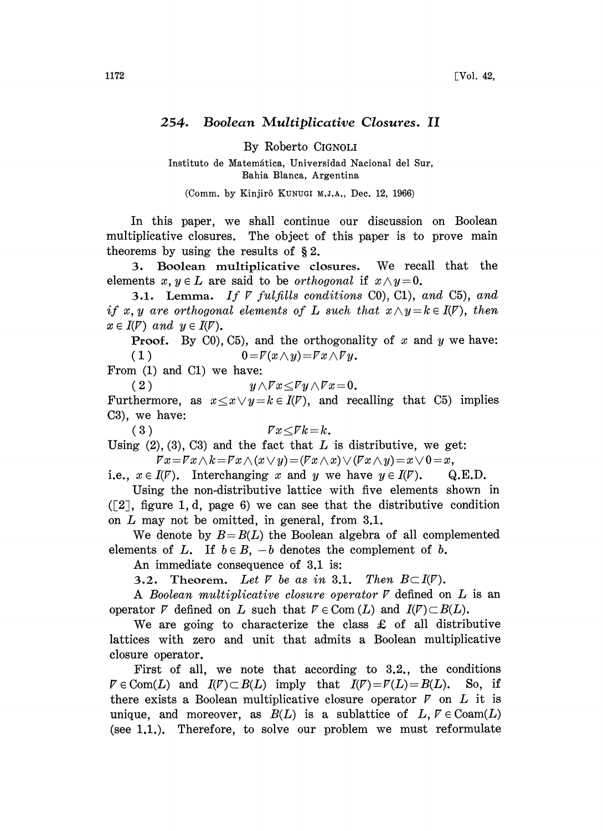## 254. Boolean Multiplicative Closures. II

By Roberto CIGNOLI

Instituto de Matemática, Universidad Nacional del Sur, Bahia Blanca, Argentina

(Comm. by Kinjirô KUNUGI M.J.A., Dec. 12, 1966)

In this paper, we shall continue our discussion on Boolean multiplicative closures. The object of this paper is to prove main theorems by using the results of  $\S 2$ .

3. Boolean multiplicative closures. We recall that the elements  $x, y \in L$  are said to be *orthogonal* if  $x \wedge y = 0$ .

3.1. Lemma. If  $\nabla$  fulfills conditions C0), C1), and C5), and if x, y are orthogonal elements of L such that  $x \wedge y = k \in I(\mathcal{V})$ , then  $x \in I(\mathcal{V})$  and  $y \in I(\mathcal{V})$ .

**Proof.** By C0), C5), and the orthogonality of  $x$  and  $y$  we have: ( 1 )  $0 = \overline{V}(x \wedge y) = \overline{V}x \wedge \overline{V}y$ .

From (1) and C1) we have:

(2)  $y \wedge \overline{V}x \leq \overline{V}y \wedge \overline{V}x=0.$ 

Furthermore, as  $x \le x \vee y = k \in I(\mathcal{V})$ , and recalling that C5) implies  $C3$ , we have:

 $(3)$ 

$$
\qquad \qquad \mathit{F}x\!\leq\!\mathit{F}k\!=\!k\;\! .
$$

Using  $(2)$ ,  $(3)$ ,  $C3$ ) and the fact that L is distributive, we get:  $\overline{V}x = \overline{V}x \wedge k = \overline{V}x \wedge (x \vee y) = (\overline{V}x \wedge x) \vee (\overline{V}x \wedge y) = x \vee 0 = x,$ 

i.e.,  $x \in I(\mathcal{V})$ . Interchanging x and y we have  $y \in I(\mathcal{V})$ . Q.E.D.

Using the non-distributive lattice with five elements shown in  $([2]$ , figure 1, d, page 6) we can see that the distributive condition on  $L$  may not be omitted, in general, from  $3.1$ .

We denote by  $B = B(L)$  the Boolean algebra of all complemented elements of L. If  $b \in B$ ,  $-b$  denotes the complement of b.

An immediate consequence of 3.1 is:

3.2. Theorem. Let  $V$  be as in 3.1. Then  $B\subset I(V)$ .

A Boolean multiplicative closure operator  $\nabla$  defined on  $L$  is an operator  $\nabla$  defined on L such that  $\nabla \in \text{Com } (L)$  and  $I(\nabla) \subset B(L)$ .

We are going to characterize the class  $\pounds$  of all distributive lattices with zero and unit that admits a Boolean multiplicative closure operator.

First of all, we note that according to 3.2., the conditions  $\nabla \in \text{Com}(L)$  and  $I(\mathcal{V}) \subset B(L)$  imply that  $I(\mathcal{V}) = \mathcal{V}(L) = B(L)$ . So, if there exists a Boolean multiplicative closure operator  $\nabla$  on  $L$  it is unique, and moreover, as  $B(L)$  is a sublattice of L,  $V \in \text{Coam}(L)$ (see 1.1.). Therefore, to solve our problem we must reformulate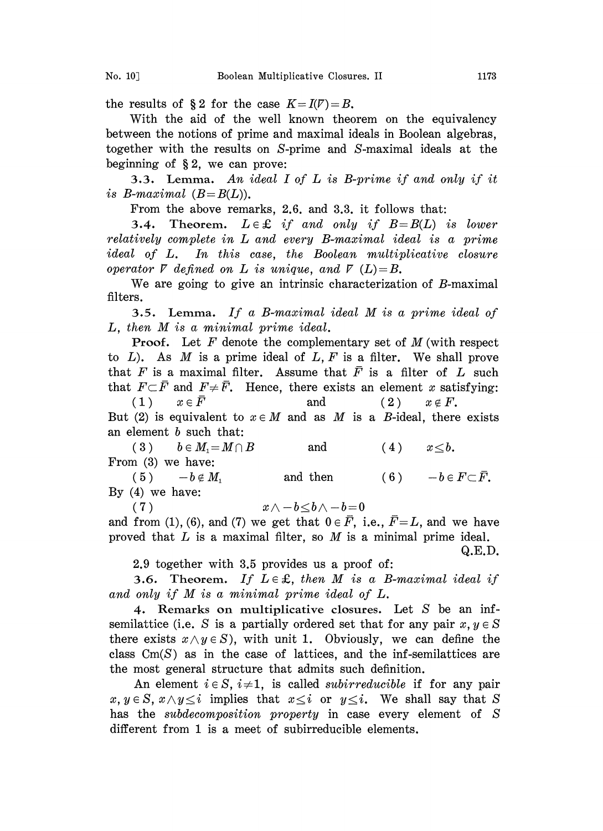the results of §2 for the case  $K = I(V) = B$ .

With the aid of the well known theorem on the equivalency between the notions of prime and maximal ideals in Boolean algebras, together with the results on S-prime and S-maximal ideals at the beginning of  $\S 2$ , we can prove:

3.3. Lemma. An ideal I of L is B-prime if and only if it is B-maximal  $(B=B(L))$ .

From the above remarks, 2.6. and 3.3. it follows that:

**3.4.** Theorem.  $L \in \mathcal{L}$  if and only if  $B=B(L)$  is lower relatively complete in L and every B-maximal ideal is a prime ideal of L. In this case, the Boolean multiplicative closure operator  $\nabla$  defined on  $L$  is unique, and  $\nabla$  (L)=B.

We are going to give an intrinsic characterization of B-maximal filters.

3.5. Lemma. If <sup>a</sup> B-maximal ideal M is <sup>a</sup> prime ideal of L, then M is <sup>a</sup> minimal prime ideal.

**Proof.** Let  $F$  denote the complementary set of  $M$  (with respect to  $L$ ). As M is a prime ideal of  $L, F$  is a filter. We shall prove that F is a maximal filter. Assume that  $\bar{F}$  is a filter of L such that  $F \subset \overline{F}$  and  $F \neq \overline{F}$ . Hence, there exists an element x satisfying:

 $(x, 1)$   $x \in \overline{F}$  and  $(x)$   $x \notin F$ . (1)  $x \in \overline{F}$  and (2)  $x \notin F$ .<br>But (2) is equivalent to  $x \in M$  and as M is a B-ideal, there exists an element b such that:

3)  $b \in M_1 = M \cap B$  and  $(4)$   $x \le b$ . From  $(3)$  we have:

5)  $-b \notin M_1$  and then  $(6)$   $-b \in F \subset \overline{F}$ . By (4) we have:

(7)  $x \wedge -b \leq b \wedge -b=0$ 

and from (1), (6), and (7) we get that  $0 \in \overline{F}$ , i.e.,  $\overline{F} = L$ , and we have proved that  $L$  is a maximal filter, so  $M$  is a minimal prime ideal.

Q.E.D.

2.9 together with 3.5 provides us a proof of:

3.6. Theorem. If  $L \in \mathcal{L}$ , then M is a B-maximal ideal if and only if M is <sup>a</sup> minimal prime ideal of L.

4. Remarks on multiplicative closures. Let S be an infsemilattice (i.e. S is a partially ordered set that for any pair  $x, y \in S$ there exists  $x \wedge y \in S$ , with unit 1. Obviously, we can define the class  $Cm(S)$  as in the case of lattices, and the inf-semilattices are the most general structure that admits such definition.

An element  $i \in S$ ,  $i \neq 1$ , is called *subirreducible* if for any pair  $x, y \in S$ ,  $x \wedge y \leq i$  implies that  $x \leq i$  or  $y \leq i$ . We shall say that S has the *subdecomposition property* in case every element of S different from 1 is a meet of subirreducible elements.